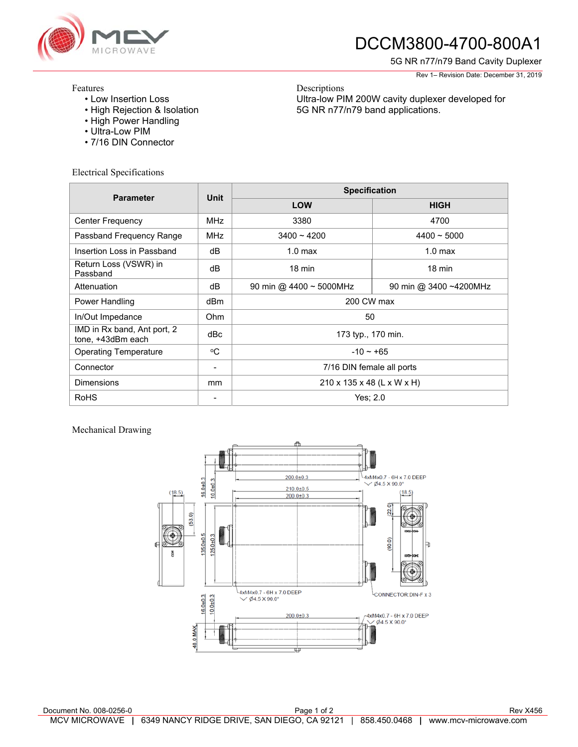

## DCCM3800-4700-800A1

Ultra-low PIM 200W cavity duplexer developed for

5G NR n77/n79 band applications.

5G NR n77/n79 Band Cavity Duplexer

Rev 1– Revision Date: December 31, 2019

## Features

- Low Insertion Loss
- High Rejection & Isolation
- High Power Handling
- Ultra-Low PIM
- 7/16 DIN Connector

Electrical Specifications

| <b>Parameter</b>                                 | Unit       | <b>Specification</b>         |                        |
|--------------------------------------------------|------------|------------------------------|------------------------|
|                                                  |            | LOW                          | <b>HIGH</b>            |
| <b>Center Frequency</b>                          | <b>MHz</b> | 3380                         | 4700                   |
| Passband Frequency Range                         | <b>MHz</b> | $3400 - 4200$                | $4400 - 5000$          |
| Insertion Loss in Passband                       | dB         | 1.0 <sub>max</sub>           | 1.0 <sub>max</sub>     |
| Return Loss (VSWR) in<br>Passband                | dB         | $18 \text{ min}$             | $18 \text{ min}$       |
| Attenuation                                      | dB         | 90 min @ 4400 $\sim$ 5000MHz | 90 min @ 3400 ~4200MHz |
| Power Handling                                   | dBm        | 200 CW max                   |                        |
| In/Out Impedance                                 | Ohm        | 50                           |                        |
| IMD in Rx band, Ant port, 2<br>tone, +43dBm each | dBc        | 173 typ., 170 min.           |                        |
| <b>Operating Temperature</b>                     | °C         | $-10 \sim +65$               |                        |
| Connector                                        |            | 7/16 DIN female all ports    |                        |
| <b>Dimensions</b>                                | mm         | 210 x 135 x 48 (L x W x H)   |                        |
| <b>RoHS</b>                                      |            | Yes; 2.0                     |                        |

Descriptions

## Mechanical Drawing